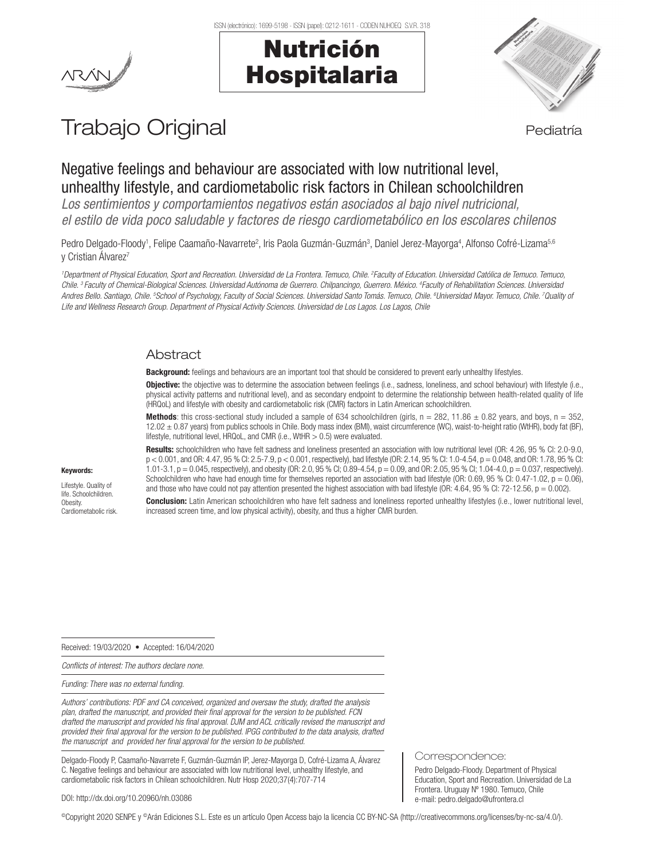ISSN (electrónico): 1699-5198 - ISSN (papel): 0212-1611 - CODEN NUHOEQ S.V.R. 318

# Nutrición Hospitalaria



## Trabajo Original en actividad establecer en actividad establecer en actividad establecer en actividad establece

## Negative feelings and behaviour are associated with low nutritional level, unhealthy lifestyle, and cardiometabolic risk factors in Chilean schoolchildren

*Los sentimientos y comportamientos negativos están asociados al bajo nivel nutricional, el estilo de vida poco saludable y factores de riesgo cardiometabólico en los escolares chilenos* 

Pedro Delgado-Floody<sup>1</sup>, Felipe Caamaño-Navarrete<sup>2</sup>, Iris Paola Guzmán-Guzmán<sup>3</sup>, Daniel Jerez-Mayorga<sup>4</sup>, Alfonso Cofré-Lizama<sup>5.e</sup> y Cristian Álvarez<sup>7</sup>

*1 Department of Physical Education, Sport and Recreation. Universidad de La Frontera. Temuco, Chile. 2 Faculty of Education. Universidad Católica de Temuco. Temuco,*  Chile. <sup>3</sup> Faculty of Chemical-Biological Sciences. Universidad Autónoma de Guerrero. Chilpancingo, Guerrero. México. <sup>4</sup> Faculty of Rehabilitation Sciences. Universidad *Andres Bello. Santiago, Chile. 5 School of Psychology, Faculty of Social Sciences. Universidad Santo Tomás. Temuco, Chile. 6 Universidad Mayor. Temuco, Chile. 7 Quality of Life and Wellness Research Group. Department of Physical Activity Sciences. Universidad de Los Lagos. Los Lagos, Chile*

## **Abstract**

Background: feelings and behaviours are an important tool that should be considered to prevent early unhealthy lifestyles.

Objective: the objective was to determine the association between feelings (i.e., sadness, loneliness, and school behaviour) with lifestyle (i.e., physical activity patterns and nutritional level), and as secondary endpoint to determine the relationship between health-related quality of life (HRQoL) and lifestyle with obesity and cardiometabolic risk (CMR) factors in Latin American schoolchildren.

**Methods**: this cross-sectional study included a sample of 634 schoolchildren (girls,  $n = 282$ , 11.86  $\pm$  0.82 years, and boys,  $n = 352$ , 12.02 ± 0.87 years) from publics schools in Chile. Body mass index (BMI), waist circumference (WC), waist-to-height ratio (WtHR), body fat (BF), lifestyle, nutritional level, HRQoL, and CMR (i.e., WtHR > 0.5) were evaluated.

Results: schoolchildren who have felt sadness and loneliness presented an association with low nutritional level (OR: 4.26, 95 % CI: 2.0-9.0, p < 0.001, and OR: 4.47, 95 % CI: 2.5-7.9, p < 0.001, respectively), bad lifestyle (OR: 2.14, 95 % CI: 1.0-4.54, p = 0.048, and OR: 1.78, 95 % CI: 1.01-3.1,  $p = 0.045$ , respectively), and obesity (OR: 2.0, 95 % CI; 0.89-4.54,  $p = 0.09$ , and OR: 2.05, 95 % CI; 1.04-4.0,  $p = 0.037$ , respectively). Schoolchildren who have had enough time for themselves reported an association with bad lifestyle (OR: 0.69, 95 % CI: 0.47-1.02,  $p = 0.06$ ), and those who have could not pay attention presented the highest association with bad lifestyle (OR: 4.64, 95 % CI: 72-12.56,  $p = 0.002$ ).

## Keywords:

Lifestyle. Quality of life. Schoolchildren. Obesity. Cardiometabolic risk.

Conclusion: Latin American schoolchildren who have felt sadness and loneliness reported unhealthy lifestyles (i.e., lower nutritional level, increased screen time, and low physical activity), obesity, and thus a higher CMR burden.

Received: 19/03/2020 • Accepted: 16/04/2020

*Conflicts of interest: The authors declare none.* 

*Funding: There was no external funding.* 

*Authors' contributions: PDF and CA conceived, organized and oversaw the study, drafted the analysis plan, drafted the manuscript, and provided their final approval for the version to be published. FCN drafted the manuscript and provided his final approval. DJM and ACL critically revised the manuscript and provided their final approval for the version to be published. IPGG contributed to the data analysis, drafted the manuscript and provided her final approval for the version to be published.*

Delgado-Floody P, Caamaño-Navarrete F, Guzmán-Guzmán IP, Jerez-Mayorga D, Cofré-Lizama A, Álvarez C. Negative feelings and behaviour are associated with low nutritional level, unhealthy lifestyle, and cardiometabolic risk factors in Chilean schoolchildren. Nutr Hosp 2020;37(4):707-714

#### Correspondence:

Pedro Delgado-Floody. Department of Physical Education, Sport and Recreation. Universidad de La Frontera. Uruguay Nº 1980. Temuco, Chile e-mail: pedro.delgado@ufrontera.cl

DOI: http://dx.doi.org/10.20960/nh.03086

©Copyright 2020 SENPE y ©Arán Ediciones S.L. Este es un artículo Open Access bajo la licencia CC BY-NC-SA (http://creativecommons.org/licenses/by-nc-sa/4.0/).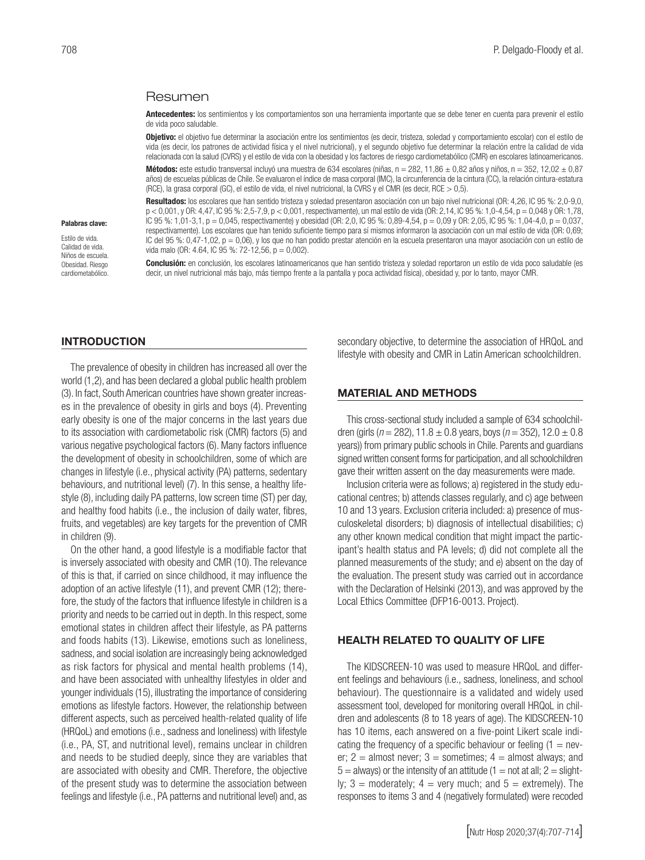#### Resumen

Antecedentes: los sentimientos y los comportamientos son una herramienta importante que se debe tener en cuenta para prevenir el estilo de vida poco saludable.

**Objetivo:** el objetivo fue determinar la asociación entre los sentimientos (es decir, tristeza, soledad y comportamiento escolar) con el estilo de vida (es decir, los patrones de actividad física y el nivel nutricional), y el segundo objetivo fue determinar la relación entre la calidad de vida relacionada con la salud (CVRS) y el estilo de vida con la obesidad y los factores de riesgo cardiometabólico (CMR) en escolares latinoamericanos.

Métodos: este estudio transversal incluyó una muestra de 634 escolares (niñas, n = 282, 11,86  $\pm$  0,82 años y niños, n = 352, 12,02  $\pm$  0,87 años) de escuelas públicas de Chile. Se evaluaron el índice de masa corporal (IMC), la circunferencia de la cintura (CC), la relación cintura-estatura (RCE), la grasa corporal (GC), el estilo de vida, el nivel nutricional, la CVRS y el CMR (es decir, RCE > 0,5).

Resultados: los escolares que han sentido tristeza y soledad presentaron asociación con un bajo nivel nutricional (OR: 4,26, IC 95 %: 2,0-9,0, p < 0,001, y OR: 4,47, IC 95 %: 2,5-7,9, p < 0,001, respectivamente), un mal estilo de vida (OR: 2,14, IC 95 %: 1,0-4,54, p = 0,048 y OR: 1,78, IC 95 %: 1,01-3,1, p = 0,045, respectivamente) y obesidad (OR: 2,0, IC 95 %: 0,89-4,54, p = 0,09 y OR: 2,05, IC 95 %: 1,04-4,0, p = 0,037, respectivamente). Los escolares que han tenido suficiente tiempo para sí mismos informaron la asociación con un mal estilo de vida (OR: 0,69; IC del 95 %: 0,47-1,02, p = 0,06), y los que no han podido prestar atención en la escuela presentaron una mayor asociación con un estilo de vida malo (OR: 4.64, IC 95 %: 72-12,56, p = 0,002).

Conclusión: en conclusión, los escolares latinoamericanos que han sentido tristeza y soledad reportaron un estilo de vida poco saludable (es decir, un nivel nutricional más bajo, más tiempo frente a la pantalla y poca actividad física), obesidad y, por lo tanto, mayor CMR.

### **INTRODUCTION**

Palabras clave: Estilo de vida. Calidad de vida. Niños de escuela. Obesidad. Riesgo cardiometabólico.

The prevalence of obesity in children has increased all over the world (1,2), and has been declared a global public health problem (3). In fact, South American countries have shown greater increases in the prevalence of obesity in girls and boys (4). Preventing early obesity is one of the major concerns in the last years due to its association with cardiometabolic risk (CMR) factors (5) and various negative psychological factors (6). Many factors influence the development of obesity in schoolchildren, some of which are changes in lifestyle (i.e., physical activity (PA) patterns, sedentary behaviours, and nutritional level) (7). In this sense, a healthy lifestyle (8), including daily PA patterns, low screen time (ST) per day, and healthy food habits (i.e., the inclusion of daily water, fibres, fruits, and vegetables) are key targets for the prevention of CMR in children (9).

On the other hand, a good lifestyle is a modifiable factor that is inversely associated with obesity and CMR (10). The relevance of this is that, if carried on since childhood, it may influence the adoption of an active lifestyle (11), and prevent CMR (12); therefore, the study of the factors that influence lifestyle in children is a priority and needs to be carried out in depth. In this respect, some emotional states in children affect their lifestyle, as PA patterns and foods habits (13). Likewise, emotions such as loneliness, sadness, and social isolation are increasingly being acknowledged as risk factors for physical and mental health problems (14), and have been associated with unhealthy lifestyles in older and younger individuals (15), illustrating the importance of considering emotions as lifestyle factors. However, the relationship between different aspects, such as perceived health-related quality of life (HRQoL) and emotions (i.e., sadness and loneliness) with lifestyle (i.e., PA, ST, and nutritional level), remains unclear in children and needs to be studied deeply, since they are variables that are associated with obesity and CMR. Therefore, the objective of the present study was to determine the association between feelings and lifestyle (i.e., PA patterns and nutritional level) and, as

secondary objective, to determine the association of HRQoL and lifestyle with obesity and CMR in Latin American schoolchildren.

#### MATERIAL AND METHODS

This cross-sectional study included a sample of 634 schoolchildren (girls ( $n = 282$ ), 11.8  $\pm$  0.8 years, boys ( $n = 352$ ), 12.0  $\pm$  0.8 years)) from primary public schools in Chile. Parents and guardians signed written consent forms for participation, and all schoolchildren gave their written assent on the day measurements were made.

Inclusion criteria were as follows; a) registered in the study educational centres; b) attends classes regularly, and c) age between 10 and 13 years. Exclusion criteria included: a) presence of musculoskeletal disorders; b) diagnosis of intellectual disabilities; c) any other known medical condition that might impact the participant's health status and PA levels; d) did not complete all the planned measurements of the study; and e) absent on the day of the evaluation. The present study was carried out in accordance with the Declaration of Helsinki (2013), and was approved by the Local Ethics Committee (DFP16-0013. Project).

#### HEALTH RELATED TO QUALITY OF LIFE

The KIDSCREEN-10 was used to measure HRQoL and different feelings and behaviours (i.e., sadness, loneliness, and school behaviour). The questionnaire is a validated and widely used assessment tool, developed for monitoring overall HRQoL in children and adolescents (8 to 18 years of age). The KIDSCREEN-10 has 10 items, each answered on a five-point Likert scale indicating the frequency of a specific behaviour or feeling  $(1 = new$ er;  $2 =$  almost never;  $3 =$  sometimes;  $4 =$  almost always; and  $5 =$  always) or the intensity of an attitude (1 = not at all; 2 = slightly;  $3 =$  moderately;  $4 =$  very much; and  $5 =$  extremely). The responses to items 3 and 4 (negatively formulated) were recoded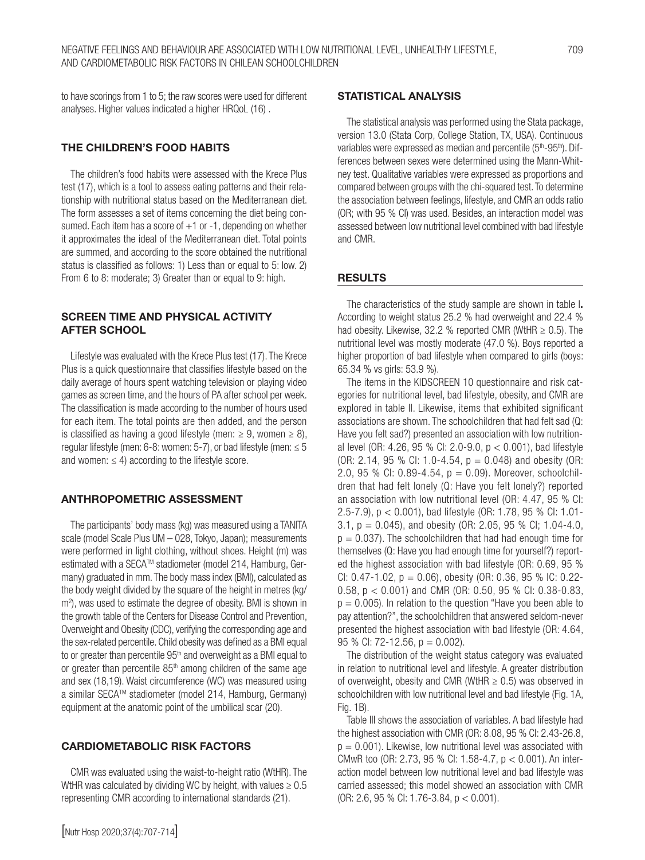to have scorings from 1 to 5; the raw scores were used for different analyses. Higher values indicated a higher HRQoL (16) .

## THE CHILDREN'S FOOD HABITS

The children's food habits were assessed with the Krece Plus test (17), which is a tool to assess eating patterns and their relationship with nutritional status based on the Mediterranean diet. The form assesses a set of items concerning the diet being consumed. Each item has a score of  $+1$  or  $-1$ , depending on whether it approximates the ideal of the Mediterranean diet. Total points are summed, and according to the score obtained the nutritional status is classified as follows: 1) Less than or equal to 5: low. 2) From 6 to 8: moderate; 3) Greater than or equal to 9: high.

## SCREEN TIME AND PHYSICAL ACTIVITY AFTER SCHOOL

Lifestyle was evaluated with the Krece Plus test (17). The Krece Plus is a quick questionnaire that classifies lifestyle based on the daily average of hours spent watching television or playing video games as screen time, and the hours of PA after school per week. The classification is made according to the number of hours used for each item. The total points are then added, and the person is classified as having a good lifestyle (men:  $\geq 9$ , women  $\geq 8$ ), regular lifestyle (men:  $6-8$ : women:  $5-7$ ), or bad lifestyle (men:  $\leq 5$ and women:  $\leq 4$ ) according to the lifestyle score.

## ANTHROPOMETRIC ASSESSMENT

The participants' body mass (kg) was measured using a TANITA scale (model Scale Plus UM – 028, Tokyo, Japan); measurements were performed in light clothing, without shoes. Height (m) was estimated with a SECA™ stadiometer (model 214, Hamburg, Germany) graduated in mm. The body mass index (BMI), calculated as the body weight divided by the square of the height in metres (kg/ m<sup>2</sup>), was used to estimate the degree of obesity. BMI is shown in the growth table of the Centers for Disease Control and Prevention, Overweight and Obesity (CDC), verifying the corresponding age and the sex-related percentile. Child obesity was defined as a BMI equal to or greater than percentile  $95<sup>th</sup>$  and overweight as a BMI equal to or greater than percentile  $85<sup>th</sup>$  among children of the same age and sex (18,19). Waist circumference (WC) was measured using a similar SECATM stadiometer (model 214, Hamburg, Germany) equipment at the anatomic point of the umbilical scar (20).

#### CARDIOMETABOLIC RISK FACTORS

CMR was evaluated using the waist-to-height ratio (WtHR). The WtHR was calculated by dividing WC by height, with values  $\geq 0.5$ representing CMR according to international standards (21).

#### STATISTICAL ANALYSIS

The statistical analysis was performed using the Stata package, version 13.0 (Stata Corp, College Station, TX, USA). Continuous variables were expressed as median and percentile (5<sup>th</sup>-95<sup>th</sup>). Differences between sexes were determined using the Mann-Whitney test. Qualitative variables were expressed as proportions and compared between groups with the chi-squared test. To determine the association between feelings, lifestyle, and CMR an odds ratio (OR; with 95 % CI) was used. Besides, an interaction model was assessed between low nutritional level combined with bad lifestyle and CMR.

#### RESULTS

The characteristics of the study sample are shown in table I. According to weight status 25.2 % had overweight and 22.4 % had obesity. Likewise, 32.2 % reported CMR (WtHR  $\geq$  0.5). The nutritional level was mostly moderate (47.0 %). Boys reported a higher proportion of bad lifestyle when compared to girls (boys: 65.34 % vs girls: 53.9 %).

The items in the KIDSCREEN 10 questionnaire and risk categories for nutritional level, bad lifestyle, obesity, and CMR are explored in table II. Likewise, items that exhibited significant associations are shown. The schoolchildren that had felt sad (Q: Have you felt sad?) presented an association with low nutritional level (OR: 4.26, 95 % CI: 2.0-9.0, p < 0.001), bad lifestyle (OR: 2.14, 95 % CI: 1.0-4.54, p = 0.048) and obesity (OR: 2.0, 95 % CI: 0.89-4.54,  $p = 0.09$ ). Moreover, schoolchildren that had felt lonely (Q: Have you felt lonely?) reported an association with low nutritional level (OR: 4.47, 95 % CI: 2.5-7.9), p < 0.001), bad lifestyle (OR: 1.78, 95 % CI: 1.01- 3.1, p = 0.045), and obesity (OR: 2.05, 95 % CI; 1.04-4.0,  $p = 0.037$ ). The schoolchildren that had had enough time for themselves (Q: Have you had enough time for yourself?) reported the highest association with bad lifestyle (OR: 0.69, 95 % CI:  $0.47 - 1.02$ ,  $p = 0.06$ ), obesity (OR: 0.36, 95 % IC: 0.22-0.58, p < 0.001) and CMR (OR: 0.50, 95 % CI: 0.38-0.83,  $p = 0.005$ ). In relation to the question "Have you been able to pay attention?", the schoolchildren that answered seldom-never presented the highest association with bad lifestyle (OR: 4.64, 95 % CI: 72-12.56,  $p = 0.002$ ).

The distribution of the weight status category was evaluated in relation to nutritional level and lifestyle. A greater distribution of overweight, obesity and CMR (WtHR  $\geq$  0.5) was observed in schoolchildren with low nutritional level and bad lifestyle (Fig. 1A, Fig. 1B).

Table III shows the association of variables. A bad lifestyle had the highest association with CMR (OR: 8.08, 95 % CI: 2.43-26.8,  $p = 0.001$ ). Likewise, low nutritional level was associated with CMwR too (OR: 2.73, 95 % CI: 1.58-4.7, p < 0.001). An interaction model between low nutritional level and bad lifestyle was carried assessed; this model showed an association with CMR (OR: 2.6, 95 % CI: 1.76-3.84, p < 0.001).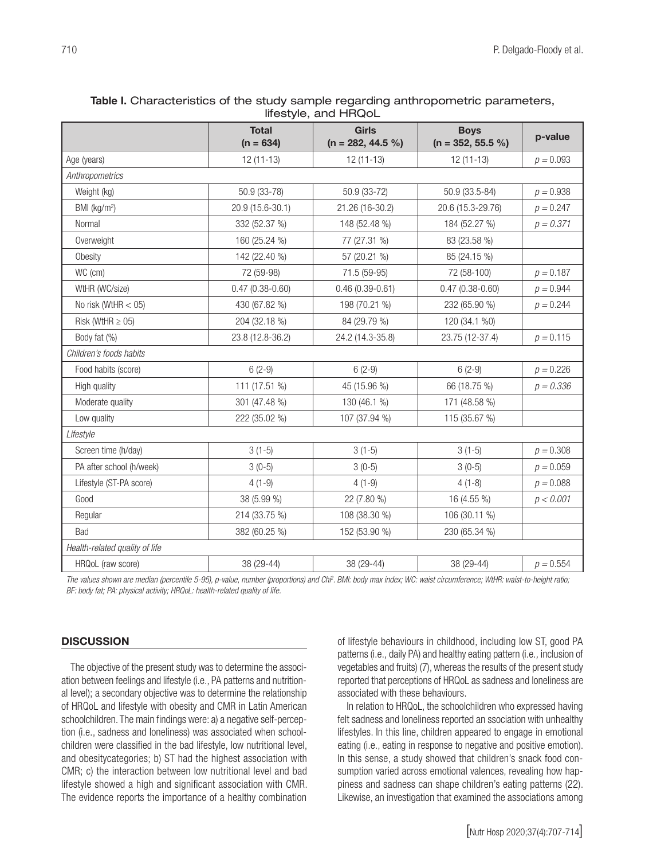| Table I. Characteristics of the study sample regarding anthropometric parameters, |  |  |  |  |
|-----------------------------------------------------------------------------------|--|--|--|--|
| lifestyle, and HRQoL                                                              |  |  |  |  |

|                                | <b>Total</b><br>$(n = 634)$ | <b>Girls</b><br>$(n = 282, 44.5%)$ | <b>Boys</b><br>$(n = 352, 55.5%)$ | p-value     |  |  |
|--------------------------------|-----------------------------|------------------------------------|-----------------------------------|-------------|--|--|
| Age (years)                    | $12(11-13)$                 | $12(11-13)$                        | $12(11-13)$                       | $p = 0.093$ |  |  |
| Anthropometrics                |                             |                                    |                                   |             |  |  |
| Weight (kg)                    | 50.9 (33-78)                | 50.9 (33-72)                       | 50.9 (33.5-84)                    | $p = 0.938$ |  |  |
| BMI (kg/m <sup>2</sup> )       | 20.9 (15.6-30.1)            | 21.26 (16-30.2)                    | 20.6 (15.3-29.76)                 | $p = 0.247$ |  |  |
| Normal                         | 332 (52.37 %)               | 148 (52.48 %)                      | 184 (52.27 %)                     | $p = 0.371$ |  |  |
| Overweight                     | 160 (25.24 %)               | 77 (27.31 %)                       | 83 (23.58 %)                      |             |  |  |
| Obesity                        | 142 (22.40 %)               | 57 (20.21 %)                       | 85 (24.15 %)                      |             |  |  |
| WC (cm)                        | 72 (59-98)                  | 71.5 (59-95)                       | 72 (58-100)                       | $p = 0.187$ |  |  |
| WtHR (WC/size)                 | $0.47(0.38-0.60)$           | $0.46(0.39 - 0.61)$                | $0.47(0.38-0.60)$                 | $p = 0.944$ |  |  |
| No risk (WtHR $<$ 05)          | 430 (67.82 %)               | 198 (70.21 %)                      | 232 (65.90 %)                     | $p = 0.244$ |  |  |
| Risk (WtHR $\geq$ 05)          | 204 (32.18 %)               | 84 (29.79 %)                       | 120 (34.1 %0)                     |             |  |  |
| Body fat (%)                   | 23.8 (12.8-36.2)            | 24.2 (14.3-35.8)                   | 23.75 (12-37.4)                   | $p = 0.115$ |  |  |
| Children's foods habits        |                             |                                    |                                   |             |  |  |
| Food habits (score)            | $6(2-9)$                    | $6(2-9)$                           | $6(2-9)$                          | $p = 0.226$ |  |  |
| High quality                   | 111 (17.51 %)               | 45 (15.96 %)                       | 66 (18.75 %)                      | $p = 0.336$ |  |  |
| Moderate quality               | 301 (47.48 %)               | 130 (46.1 %)                       | 171 (48.58 %)                     |             |  |  |
| Low quality                    | 222 (35.02 %)               | 107 (37.94 %)                      | 115 (35.67 %)                     |             |  |  |
| Lifestyle                      |                             |                                    |                                   |             |  |  |
| Screen time (h/day)            | $3(1-5)$                    | $3(1-5)$                           | $3(1-5)$                          | $p = 0.308$ |  |  |
| PA after school (h/week)       | $3(0-5)$                    | $3(0-5)$                           | $3(0-5)$                          | $p = 0.059$ |  |  |
| Lifestyle (ST-PA score)        | $4(1-9)$                    | $4(1-9)$                           | $4(1-8)$                          | $p = 0.088$ |  |  |
| Good                           | 38 (5.99 %)                 | 22 (7.80 %)                        | 16 (4.55 %)                       | p < 0.001   |  |  |
| Regular                        | 214 (33.75 %)               | 108 (38.30 %)                      | 106 (30.11 %)                     |             |  |  |
| Bad                            | 382 (60.25 %)               | 152 (53.90 %)                      | 230 (65.34 %)                     |             |  |  |
| Health-related quality of life |                             |                                    |                                   |             |  |  |
| HRQoL (raw score)              | 38 (29-44)                  | 38 (29-44)                         | 38 (29-44)                        | $p = 0.554$ |  |  |

The values shown are median (percentile 5-95), p-value, number (proportions) and Chi<sup>2</sup>. BMI: body max index; WC: waist circumference; WtHR: waist-to-height ratio; *BF: body fat; PA: physical activity; HRQoL: health-related quality of life.*

#### **DISCUSSION**

The objective of the present study was to determine the association between feelings and lifestyle (i.e., PA patterns and nutritional level); a secondary objective was to determine the relationship of HRQoL and lifestyle with obesity and CMR in Latin American schoolchildren. The main findings were: a) a negative self-perception (i.e., sadness and loneliness) was associated when schoolchildren were classified in the bad lifestyle, low nutritional level, and obesitycategories; b) ST had the highest association with CMR; c) the interaction between low nutritional level and bad lifestyle showed a high and significant association with CMR. The evidence reports the importance of a healthy combination of lifestyle behaviours in childhood, including low ST, good PA patterns (i.e.*,* daily PA) and healthy eating pattern (i.e.*,* inclusion of vegetables and fruits) (7), whereas the results of the present study reported that perceptions of HRQoL as sadness and loneliness are associated with these behaviours.

In relation to HRQoL, the schoolchildren who expressed having felt sadness and loneliness reported an ssociation with unhealthy lifestyles. In this line, children appeared to engage in emotional eating (i.e., eating in response to negative and positive emotion). In this sense, a study showed that children's snack food consumption varied across emotional valences, revealing how happiness and sadness can shape children's eating patterns (22). Likewise, an investigation that examined the associations among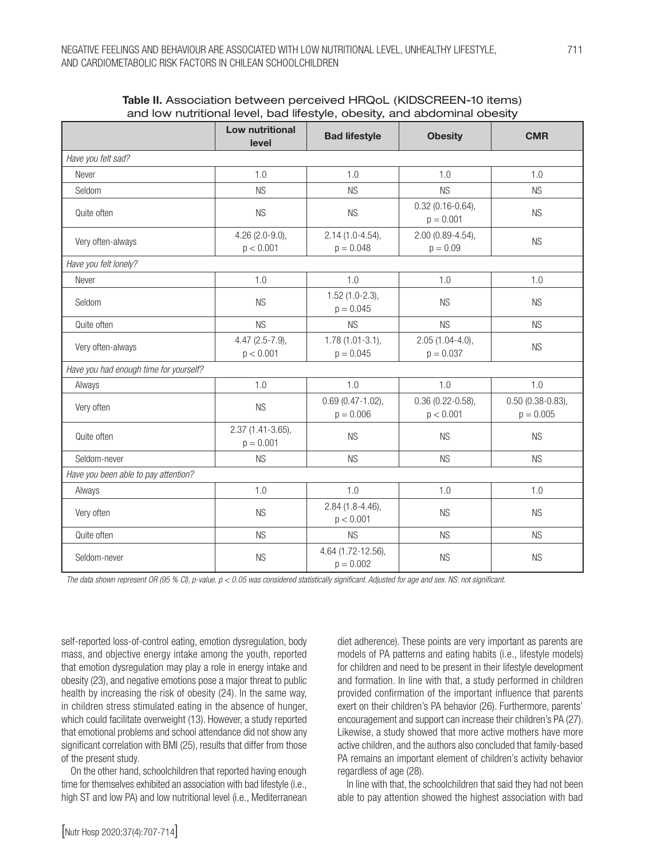|                                        | Low nutritional<br>level         | <b>Bad lifestyle</b>                | <b>Obesity</b>                      | <b>CMR</b>                        |  |  |
|----------------------------------------|----------------------------------|-------------------------------------|-------------------------------------|-----------------------------------|--|--|
| Have you felt sad?                     |                                  |                                     |                                     |                                   |  |  |
| Never                                  | 1.0                              | 1.0                                 | 1.0                                 | 1.0                               |  |  |
| Seldom                                 | <b>NS</b>                        | <b>NS</b>                           | <b>NS</b>                           | <b>NS</b>                         |  |  |
| Quite often                            | <b>NS</b>                        | <b>NS</b>                           | $0.32(0.16 - 0.64),$<br>$p = 0.001$ | <b>NS</b>                         |  |  |
| Very often-always                      | $4.26$ (2.0-9.0),<br>p < 0.001   | $2.14(1.0-4.54),$<br>$p = 0.048$    | 2.00 (0.89-4.54),<br>$p = 0.09$     | <b>NS</b>                         |  |  |
| Have you felt lonely?                  |                                  |                                     |                                     |                                   |  |  |
| Never                                  | 1.0                              | 1.0                                 | 1.0                                 | 1.0                               |  |  |
| Seldom                                 | <b>NS</b>                        | $1.52(1.0-2.3),$<br>$p = 0.045$     | <b>NS</b>                           | <b>NS</b>                         |  |  |
| Quite often                            | <b>NS</b>                        | <b>NS</b>                           | <b>NS</b>                           | <b>NS</b>                         |  |  |
| Very often-always                      | $4.47$ (2.5-7.9),<br>p < 0.001   | $1.78(1.01-3.1),$<br>$p = 0.045$    | $2.05(1.04-4.0),$<br>$p = 0.037$    | <b>NS</b>                         |  |  |
| Have you had enough time for yourself? |                                  |                                     |                                     |                                   |  |  |
| Always                                 | 1.0                              | 1.0                                 | 1.0                                 | 1.0                               |  |  |
| Very often                             | <b>NS</b>                        | $0.69(0.47 - 1.02),$<br>$p = 0.006$ | $0.36(0.22 - 0.58),$<br>p < 0.001   | $0.50(0.38-0.83),$<br>$p = 0.005$ |  |  |
| Quite often                            | 2.37 (1.41-3.65),<br>$p = 0.001$ | <b>NS</b>                           | <b>NS</b>                           | <b>NS</b>                         |  |  |
| Seldom-never                           | <b>NS</b>                        | <b>NS</b>                           | <b>NS</b>                           | <b>NS</b>                         |  |  |
| Have you been able to pay attention?   |                                  |                                     |                                     |                                   |  |  |
| Always                                 | 1.0                              | 1.0                                 | 1.0                                 | 1.0                               |  |  |
| Very often                             | <b>NS</b>                        | $2.84(1.8-4.46),$<br>p < 0.001      | <b>NS</b>                           | <b>NS</b>                         |  |  |
| Quite often                            | <b>NS</b>                        | <b>NS</b>                           | <b>NS</b>                           | <b>NS</b>                         |  |  |
| Seldom-never                           | <b>NS</b>                        | 4.64 (1.72-12.56),<br>$p = 0.002$   | <b>NS</b>                           | <b>NS</b>                         |  |  |

Table II. Association between perceived HRQoL (KIDSCREEN-10 items) and low nutritional level, bad lifestyle, obesity, and abdominal obesity

*The data shown represent OR (95 % CI), p-value. p < 0.05 was considered statistically significant. Adjusted for age and sex. NS: not significant.*

self-reported loss-of-control eating, emotion dysregulation, body mass, and objective energy intake among the youth, reported that emotion dysregulation may play a role in energy intake and obesity (23), and negative emotions pose a major threat to public health by increasing the risk of obesity (24). In the same way, in children stress stimulated eating in the absence of hunger, which could facilitate overweight (13). However, a study reported that emotional problems and school attendance did not show any significant correlation with BMI (25), results that differ from those of the present study.

On the other hand, schoolchildren that reported having enough time for themselves exhibited an association with bad lifestyle (i.e., high ST and low PA) and low nutritional level (i.e., Mediterranean

diet adherence). These points are very important as parents are models of PA patterns and eating habits (i.e., lifestyle models) for children and need to be present in their lifestyle development and formation. In line with that, a study performed in children provided confirmation of the important influence that parents exert on their children's PA behavior (26). Furthermore, parents' encouragement and support can increase their children's PA (27). Likewise, a study showed that more active mothers have more active children, and the authors also concluded that family-based PA remains an important element of children's activity behavior regardless of age (28).

In line with that, the schoolchildren that said they had not been able to pay attention showed the highest association with bad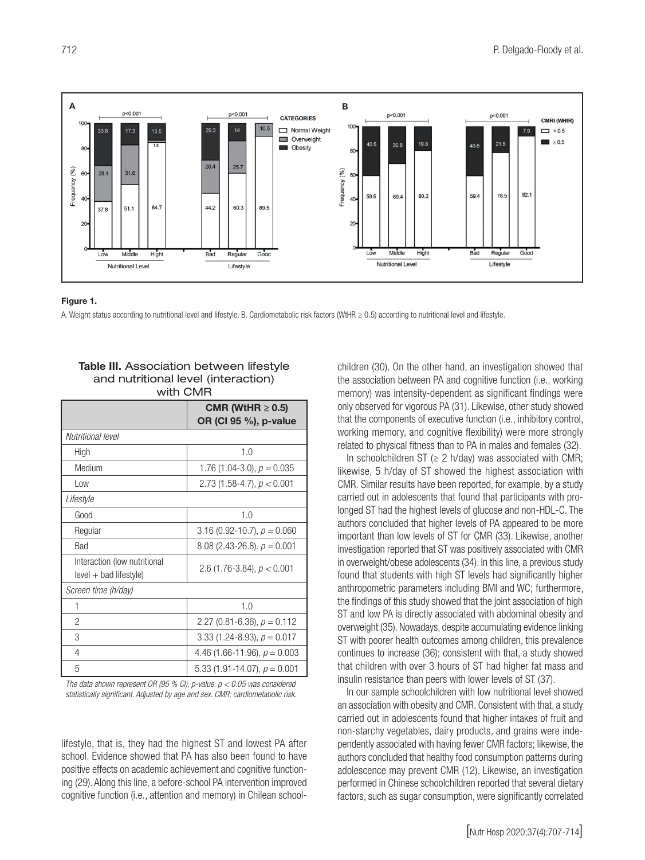

#### Figure 1.

A. Weight status according to nutritional level and lifestyle. B. Cardiometabolic risk factors (WtHR ≥ 0.5) according to nutritional level and lifestyle.

| wiin wixik                                               |                                                |  |  |  |
|----------------------------------------------------------|------------------------------------------------|--|--|--|
|                                                          | CMR (WtHR $\geq$ 0.5)<br>OR (CI 95 %), p-value |  |  |  |
| Nutritional level                                        |                                                |  |  |  |
| High                                                     | 1.0                                            |  |  |  |
| Medium                                                   | 1.76 (1.04-3.0), $p = 0.035$                   |  |  |  |
| Low                                                      | 2.73 (1.58-4.7), $p < 0.001$                   |  |  |  |
| Lifestyle                                                |                                                |  |  |  |
| Good                                                     | 1.0                                            |  |  |  |
| Regular                                                  | 3.16 (0.92-10.7), $p = 0.060$                  |  |  |  |
| Bad                                                      | $8.08$ (2.43-26.8). $p = 0.001$                |  |  |  |
| Interaction (low nutritional<br>$level + bad$ lifestyle) | 2.6 (1.76-3.84), $p < 0.001$                   |  |  |  |
| Screen time (h/day)                                      |                                                |  |  |  |
| 1                                                        | 1.0                                            |  |  |  |
| $\overline{2}$                                           | 2.27 (0.81-6.36), $p = 0.112$                  |  |  |  |
| 3                                                        | 3.33 (1.24-8.93), $p = 0.017$                  |  |  |  |
| 4                                                        | 4.46 (1.66-11.96), $p = 0.003$                 |  |  |  |
| 5                                                        | 5.33 (1.91-14.07), $p = 0.001$                 |  |  |  |

Table III. Association between lifestyle and nutritional level (interaction)  $\cdots$ 

*The data shown represent OR (95 % CI), p-value. p < 0.05 was considered*  statistically significant. Adjusted by age and sex. CMR: cardiometabolic risk.

lifestyle, that is, they had the highest ST and lowest PA after school. Evidence showed that PA has also been found to have positive effects on academic achievement and cognitive functioning (29). Along this line, a before-school PA intervention improved cognitive function (i.e., attention and memory) in Chilean schoolchildren (30). On the other hand, an investigation showed that the association between PA and cognitive function (i.e., working memory) was intensity-dependent as significant findings were only observed for vigorous PA (31). Likewise, other study showed that the components of executive function (i.e., inhibitory control, working memory, and cognitive flexibility) were more strongly related to physical fitness than to PA in males and females (32).

In schoolchildren ST ( $\geq$  2 h/day) was associated with CMR; likewise, 5 h/day of ST showed the highest association with CMR. Similar results have been reported, for example, by a study carried out in adolescents that found that participants with prolonged ST had the highest levels of glucose and non-HDL-C. The authors concluded that higher levels of PA appeared to be more important than low levels of ST for CMR (33). Likewise, another investigation reported that ST was positively associated with CMR in overweight/obese adolescents (34). In this line, a previous study found that students with high ST levels had significantly higher anthropometric parameters including BMI and WC; furthermore, the findings of this study showed that the joint association of high ST and low PA is directly associated with abdominal obesity and overweight (35). Nowadays, despite accumulating evidence linking ST with poorer health outcomes among children, this prevalence continues to increase (36); consistent with that, a study showed that children with over 3 hours of ST had higher fat mass and insulin resistance than peers with lower levels of ST (37).

In our sample schoolchildren with low nutritional level showed an association with obesity and CMR. Consistent with that, a study carried out in adolescents found that higher intakes of fruit and non-starchy vegetables, dairy products, and grains were independently associated with having fewer CMR factors; likewise, the authors concluded that healthy food consumption patterns during adolescence may prevent CMR (12). Likewise, an investigation performed in Chinese schoolchildren reported that several dietary factors, such as sugar consumption, were significantly correlated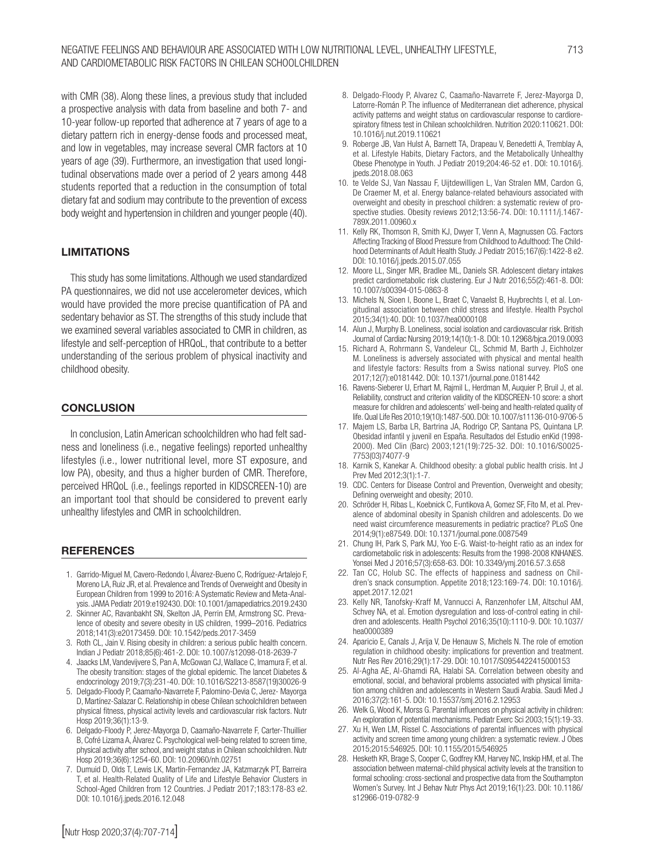with CMR (38). Along these lines, a previous study that included a prospective analysis with data from baseline and both 7- and 10-year follow-up reported that adherence at 7 years of age to a dietary pattern rich in energy-dense foods and processed meat, and low in vegetables, may increase several CMR factors at 10 years of age (39). Furthermore, an investigation that used longitudinal observations made over a period of 2 years among 448 students reported that a reduction in the consumption of total dietary fat and sodium may contribute to the prevention of excess body weight and hypertension in children and younger people (40).

### LIMITATIONS

This study has some limitations. Although we used standardized PA questionnaires, we did not use accelerometer devices, which would have provided the more precise quantification of PA and sedentary behavior as ST. The strengths of this study include that we examined several variables associated to CMR in children, as lifestyle and self-perception of HRQoL, that contribute to a better understanding of the serious problem of physical inactivity and childhood obesity.

### **CONCLUSION**

In conclusion, Latin American schoolchildren who had felt sadness and loneliness (i.e., negative feelings) reported unhealthy lifestyles (i.e., lower nutritional level, more ST exposure, and low PA), obesity, and thus a higher burden of CMR. Therefore, perceived HRQoL (i.e., feelings reported in KIDSCREEN-10) are an important tool that should be considered to prevent early unhealthy lifestyles and CMR in schoolchildren.

#### **REFERENCES**

- 1. Garrido-Miguel M, Cavero-Redondo I, Álvarez-Bueno C, Rodríguez-Artalejo F, Moreno LA, Ruiz JR, et al. Prevalence and Trends of Overweight and Obesity in European Children from 1999 to 2016: A Systematic Review and Meta-Analysis. JAMA Pediatr 2019:e192430. DOI: 10.1001/jamapediatrics.2019.2430
- 2. Skinner AC, Ravanbakht SN, Skelton JA, Perrin EM, Armstrong SC. Prevalence of obesity and severe obesity in US children, 1999–2016. Pediatrics 2018;141(3):e20173459. DOI: 10.1542/peds.2017-3459
- 3. Roth CL, Jain V. Rising obesity in children: a serious public health concern. Indian J Pediatr 2018;85(6):461-2. DOI: 10.1007/s12098-018-2639-7
- 4. Jaacks LM, Vandevijvere S, Pan A, McGowan CJ, Wallace C, Imamura F, et al. The obesity transition: stages of the global epidemic. The lancet Diabetes & endocrinology 2019;7(3):231-40. DOI: 10.1016/S2213-8587(19)30026-9
- 5. Delgado-Floody P, Caamaño-Navarrete F, Palomino-Devia C, Jerez- Mayorga D, Martínez-Salazar C. Relationship in obese Chilean schoolchildren between physical fitness, physical activity levels and cardiovascular risk factors. Nutr Hosp 2019;36(1):13-9.
- 6. Delgado-Floody P, Jerez-Mayorga D, Caamaño-Navarrete F, Carter-Thuillier B, Cofré Lizama A, Álvarez C. Psychological well-being related to screen time, physical activity after school, and weight status in Chilean schoolchildren. Nutr Hosp 2019;36(6):1254-60. DOI: 10.20960/nh.02751
- 7. Dumuid D, Olds T, Lewis LK, Martin-Fernandez JA, Katzmarzyk PT, Barreira T, et al. Health-Related Quality of Life and Lifestyle Behavior Clusters in School-Aged Children from 12 Countries. J Pediatr 2017;183:178-83 e2. DOI: 10.1016/j.jpeds.2016.12.048
- 8. Delgado-Floody P, Alvarez C, Caamaño-Navarrete F, Jerez-Mayorga D, Latorre-Román P. The influence of Mediterranean diet adherence, physical activity patterns and weight status on cardiovascular response to cardiorespiratory fitness test in Chilean schoolchildren. Nutrition 2020:110621. DOI: 10.1016/j.nut.2019.110621
- 9. Roberge JB, Van Hulst A, Barnett TA, Drapeau V, Benedetti A, Tremblay A, et al. Lifestyle Habits, Dietary Factors, and the Metabolically Unhealthy Obese Phenotype in Youth. J Pediatr 2019;204:46-52 e1. DOI: 10.1016/j. jpeds.2018.08.063
- 10. te Velde SJ, Van Nassau F, Uijtdewilligen L, Van Stralen MM, Cardon G, De Craemer M, et al. Energy balance-related behaviours associated with overweight and obesity in preschool children: a systematic review of prospective studies. Obesity reviews 2012;13:56-74. DOI: 10.1111/j.1467- 789X.2011.00960.x
- 11. Kelly RK, Thomson R, Smith KJ, Dwyer T, Venn A, Magnussen CG. Factors Affecting Tracking of Blood Pressure from Childhood to Adulthood: The Childhood Determinants of Adult Health Study. J Pediatr 2015;167(6):1422-8 e2. DOI: 10.1016/j.jpeds.2015.07.055
- 12. Moore LL, Singer MR, Bradlee ML, Daniels SR. Adolescent dietary intakes predict cardiometabolic risk clustering. Eur J Nutr 2016;55(2):461-8. DOI: 10.1007/s00394-015-0863-8
- 13. Michels N, Sioen I, Boone L, Braet C, Vanaelst B, Huybrechts I, et al. Longitudinal association between child stress and lifestyle. Health Psychol 2015;34(1):40. DOI: 10.1037/hea0000108
- 14. Alun J, Murphy B. Loneliness, social isolation and cardiovascular risk. British Journal of Cardiac Nursing 2019;14(10):1-8. DOI: 10.12968/bjca.2019.0093
- 15. Richard A, Rohrmann S, Vandeleur CL, Schmid M, Barth J, Eichholzer M. Loneliness is adversely associated with physical and mental health and lifestyle factors: Results from a Swiss national survey. PloS one 2017;12(7):e0181442. DOI: 10.1371/journal.pone.0181442
- 16. Ravens-Sieberer U, Erhart M, Rajmil L, Herdman M, Auquier P, Bruil J, et al. Reliability, construct and criterion validity of the KIDSCREEN-10 score: a short measure for children and adolescents' well-being and health-related quality of life. Qual Life Res 2010;19(10):1487-500. DOI: 10.1007/s11136-010-9706-5
- 17. Majem LS, Barba LR, Bartrina JA, Rodrigo CP, Santana PS, Quintana LP. Obesidad infantil y juvenil en España. Resultados del Estudio enKid (1998- 2000). Med Clin (Barc) 2003;121(19):725-32. DOI: 10.1016/S0025- 7753(03)74077-9
- 18. Karnik S, Kanekar A. Childhood obesity: a global public health crisis. Int J Prev Med 2012;3(1):1-7.
- 19. CDC. Centers for Disease Control and Prevention, Overweight and obesity; Defining overweight and obesity; 2010.
- Schröder H, Ribas L, Koebnick C, Funtikova A, Gomez SF, Fíto M, et al. Prevalence of abdominal obesity in Spanish children and adolescents. Do we need waist circumference measurements in pediatric practice? PLoS One 2014;9(1):e87549. DOI: 10.1371/journal.pone.0087549
- 21. Chung IH, Park S, Park MJ, Yoo E-G. Waist-to-height ratio as an index for cardiometabolic risk in adolescents: Results from the 1998-2008 KNHANES. Yonsei Med J 2016;57(3):658-63. DOI: 10.3349/ymj.2016.57.3.658
- 22. Tan CC, Holub SC. The effects of happiness and sadness on Children's snack consumption. Appetite 2018;123:169-74. DOI: 10.1016/j. appet.2017.12.021
- 23. Kelly NR, Tanofsky-Kraff M, Vannucci A, Ranzenhofer LM, Altschul AM, Schvey NA, et al. Emotion dysregulation and loss-of-control eating in children and adolescents. Health Psychol 2016;35(10):1110-9. DOI: 10.1037/ hea0000389
- 24. Aparicio E, Canals J, Arija V, De Henauw S, Michels N. The role of emotion regulation in childhood obesity: implications for prevention and treatment. Nutr Res Rev 2016;29(1):17-29. DOI: 10.1017/S0954422415000153
- 25. Al-Agha AE, Al-Ghamdi RA, Halabi SA. Correlation between obesity and emotional, social, and behavioral problems associated with physical limitation among children and adolescents in Western Saudi Arabia. Saudi Med J 2016;37(2):161-5. DOI: 10.15537/smj.2016.2.12953
- 26. Welk G, Wood K, Morss G. Parental influences on physical activity in children: An exploration of potential mechanisms. Pediatr Exerc Sci 2003;15(1):19-33.
- 27. Xu H, Wen LM, Rissel C. Associations of parental influences with physical activity and screen time among young children: a systematic review. J Obes 2015;2015:546925. DOI: 10.1155/2015/546925
- 28. Hesketh KR, Brage S, Cooper C, Godfrey KM, Harvey NC, Inskip HM, et al. The association between maternal-child physical activity levels at the transition to formal schooling: cross-sectional and prospective data from the Southampton Women's Survey. Int J Behav Nutr Phys Act 2019;16(1):23. DOI: 10.1186/ s12966-019-0782-9